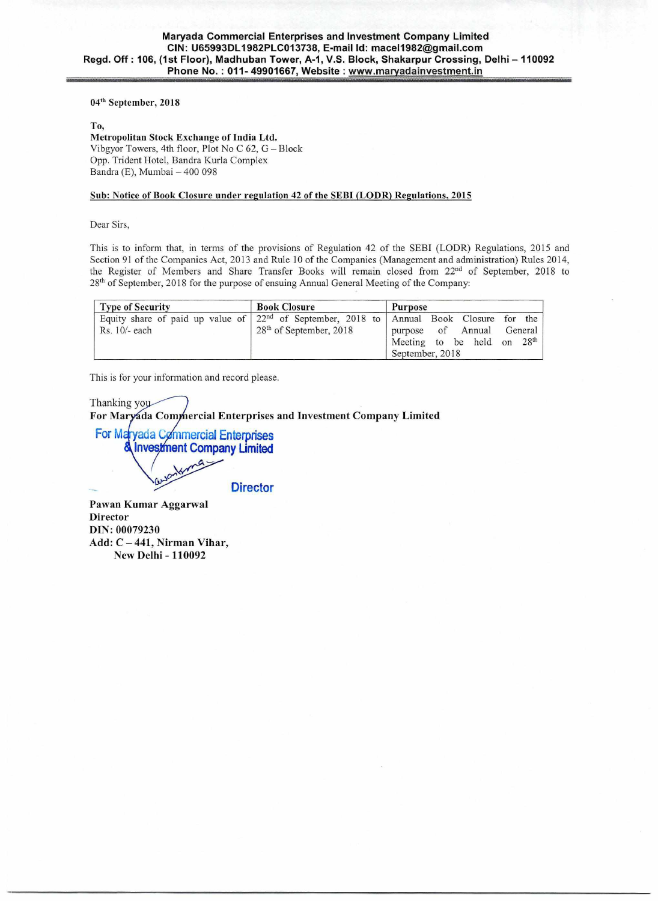# 04<sup>th</sup> September, 2018

#### To,

Metropolitan Stock Exchange of India Ltd. Vibgyor Towers, 4th floor, Plot No C 62, G — Block Opp. Trident Hotel, Bandra Kurla Complex Bandra (E), Mumbai — 400 098

### Sub: Notice of Book Closure under regulation 42 of the SEBI (LODR) Regulations, 2015

Dear Sirs,

This is to inform that, in terms of the provisions of Regulation 42 of the SEBI (LODR) Regulations, 2015 and Section 91 of the Companies Act, 2013 and Rule 10 of the Companies (Management and administration) Rules 2014, the Register of Members and Share Transfer Books will remain closed from 22<sup>nd</sup> of September, 2018 to 28th of September, 2018 for the purpose of ensuing Annual General Meeting of the Company:

| <b>Type of Security</b>                                                                       | <b>Book Closure</b>       | <b>Purpose</b>                  |
|-----------------------------------------------------------------------------------------------|---------------------------|---------------------------------|
| Equity share of paid up value of $ 22^{nd}$ of September, 2018 to Annual Book Closure for the |                           |                                 |
| Rs. 10/- each                                                                                 | $28th$ of September, 2018 | of Annual<br>General<br>purpose |
|                                                                                               |                           | Meeting to be held on $28th$    |
|                                                                                               |                           | September, 2018                 |

This is for your information and record please.

Thanking yo For Maryada Commercial Enterprises and Investment Company Limited

**For Maryada Commercial Enterprises Investment Company Limited**  $a =$ 

**Director** 

Pawan Kumar Aggarwal Director DIN: 00079230 Add:  $C - 441$ , Nirman Vihar, New Delhi - 110092